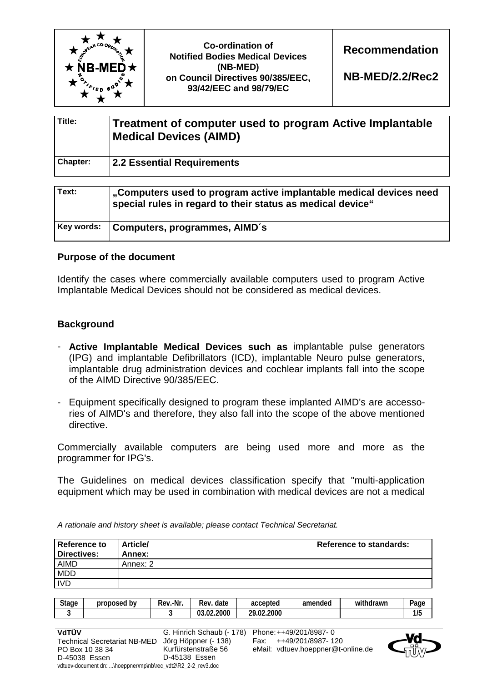

| Title:   | Treatment of computer used to program Active Implantable<br>Medical Devices (AIMD) |
|----------|------------------------------------------------------------------------------------|
| Chapter: | 2.2 Essential Requirements                                                         |

| Text:      | .Computers used to program active implantable medical devices need<br>special rules in regard to their status as medical device" |
|------------|----------------------------------------------------------------------------------------------------------------------------------|
| Key words: | Computers, programmes, AIMD's                                                                                                    |

## **Purpose of the document**

Identify the cases where commercially available computers used to program Active Implantable Medical Devices should not be considered as medical devices.

## **Background**

IVD

- **Active Implantable Medical Devices such as** implantable pulse generators (IPG) and implantable Defibrillators (ICD), implantable Neuro pulse generators, implantable drug administration devices and cochlear implants fall into the scope of the AIMD Directive 90/385/EEC.
- Equipment specifically designed to program these implanted AIMD's are accessories of AIMD's and therefore, they also fall into the scope of the above mentioned directive.

Commercially available computers are being used more and more as the programmer for IPG's.

The Guidelines on medical devices classification specify that "multi-application equipment which may be used in combination with medical devices are not a medical

**Reference to Directives: Article/ Annex: Reference to standards:**  AIMD Annex: 2 MDD

*A rationale and history sheet is available; please contact Technical Secretariat.* 

| <b>Stage</b> | b٧<br>proposed | .-Nr.<br>kev.- | date<br>Rev      | accepted           | amended | .<br>withdrawn | $2$ age   |
|--------------|----------------|----------------|------------------|--------------------|---------|----------------|-----------|
| $\bullet$    |                |                | 03.02.2000<br>n- | 2.2000<br>າດ<br>በን |         |                | Æ<br>11 J |

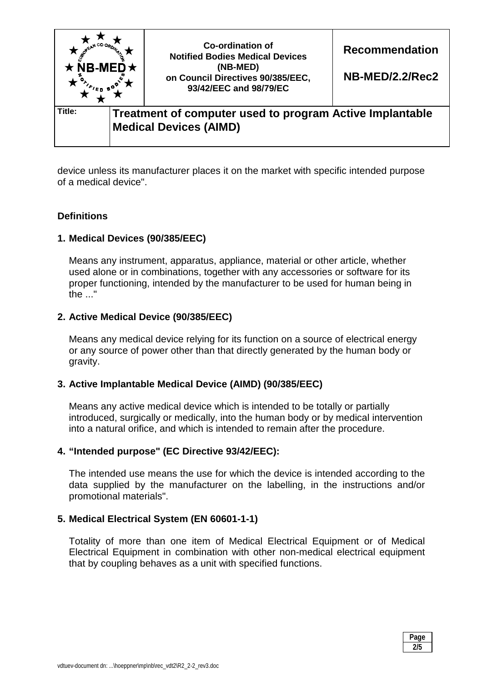

device unless its manufacturer places it on the market with specific intended purpose of a medical device".

# **Definitions**

## **1. Medical Devices (90/385/EEC)**

Means any instrument, apparatus, appliance, material or other article, whether used alone or in combinations, together with any accessories or software for its proper functioning, intended by the manufacturer to be used for human being in the ..."

## **2. Active Medical Device (90/385/EEC)**

Means any medical device relying for its function on a source of electrical energy or any source of power other than that directly generated by the human body or gravity.

## **3. Active Implantable Medical Device (AIMD) (90/385/EEC)**

Means any active medical device which is intended to be totally or partially introduced, surgically or medically, into the human body or by medical intervention into a natural orifice, and which is intended to remain after the procedure.

## **4. "Intended purpose" (EC Directive 93/42/EEC):**

The intended use means the use for which the device is intended according to the data supplied by the manufacturer on the labelling, in the instructions and/or promotional materials".

## **5. Medical Electrical System (EN 60601-1-1)**

 Totality of more than one item of Medical Electrical Equipment or of Medical Electrical Equipment in combination with other non-medical electrical equipment that by coupling behaves as a unit with specified functions.

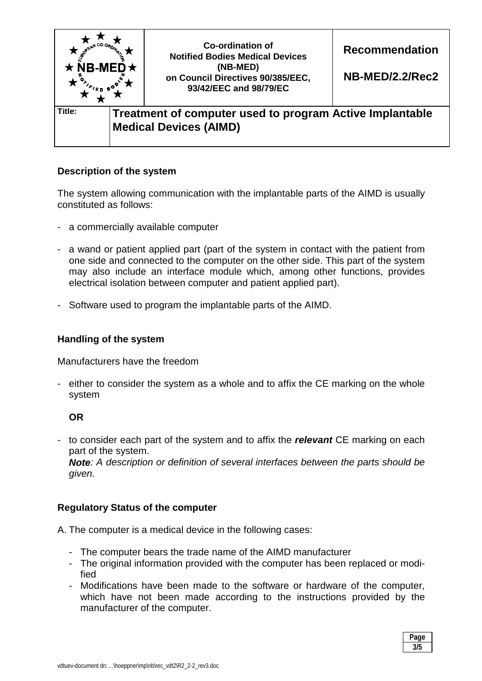

# **Description of the system**

The system allowing communication with the implantable parts of the AIMD is usually constituted as follows:

- a commercially available computer
- a wand or patient applied part (part of the system in contact with the patient from one side and connected to the computer on the other side. This part of the system may also include an interface module which, among other functions, provides electrical isolation between computer and patient applied part).
- Software used to program the implantable parts of the AIMD.

### **Handling of the system**

Manufacturers have the freedom

- either to consider the system as a whole and to affix the CE marking on the whole system

## **OR**

- to consider each part of the system and to affix the *relevant* CE marking on each part of the system.

*Note: A description or definition of several interfaces between the parts should be given.* 

## **Regulatory Status of the computer**

A. The computer is a medical device in the following cases:

- The computer bears the trade name of the AIMD manufacturer
- The original information provided with the computer has been replaced or modified
- Modifications have been made to the software or hardware of the computer, which have not been made according to the instructions provided by the manufacturer of the computer.

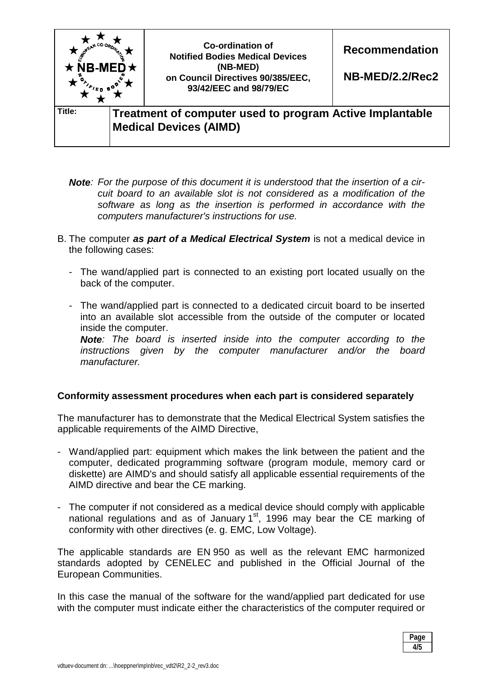

- *Note: For the purpose of this document it is understood that the insertion of a circuit board to an available slot is not considered as a modification of the software as long as the insertion is performed in accordance with the computers manufacturer's instructions for use.*
- B. The computer *as part of a Medical Electrical System* is not a medical device in the following cases:
	- The wand/applied part is connected to an existing port located usually on the back of the computer.
	- The wand/applied part is connected to a dedicated circuit board to be inserted into an available slot accessible from the outside of the computer or located inside the computer.

*Note: The board is inserted inside into the computer according to the instructions given by the computer manufacturer and/or the board manufacturer.* 

## **Conformity assessment procedures when each part is considered separately**

The manufacturer has to demonstrate that the Medical Electrical System satisfies the applicable requirements of the AIMD Directive,

- Wand/applied part: equipment which makes the link between the patient and the computer, dedicated programming software (program module, memory card or diskette) are AIMD's and should satisfy all applicable essential requirements of the AIMD directive and bear the CE marking.
- The computer if not considered as a medical device should comply with applicable national regulations and as of January  $1<sup>st</sup>$ , 1996 may bear the CE marking of conformity with other directives (e. g. EMC, Low Voltage).

The applicable standards are EN 950 as well as the relevant EMC harmonized standards adopted by CENELEC and published in the Official Journal of the European Communities.

In this case the manual of the software for the wand/applied part dedicated for use with the computer must indicate either the characteristics of the computer required or

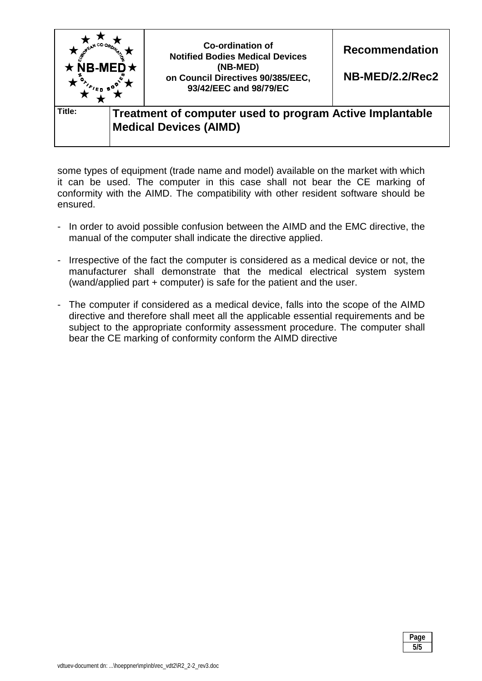

some types of equipment (trade name and model) available on the market with which it can be used. The computer in this case shall not bear the CE marking of conformity with the AIMD. The compatibility with other resident software should be ensured.

- In order to avoid possible confusion between the AIMD and the EMC directive, the manual of the computer shall indicate the directive applied.
- Irrespective of the fact the computer is considered as a medical device or not, the manufacturer shall demonstrate that the medical electrical system system (wand/applied part + computer) is safe for the patient and the user.
- The computer if considered as a medical device, falls into the scope of the AIMD directive and therefore shall meet all the applicable essential requirements and be subject to the appropriate conformity assessment procedure. The computer shall bear the CE marking of conformity conform the AIMD directive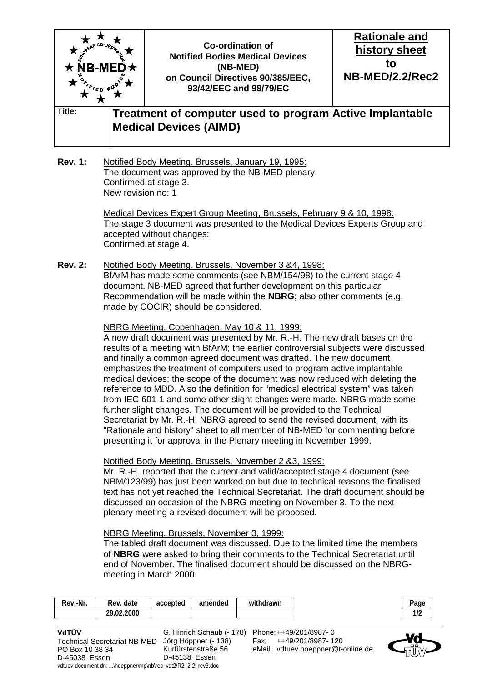

#### **Rev. 1:** Notified Body Meeting, Brussels, January 19, 1995: The document was approved by the NB-MED plenary. Confirmed at stage 3. New revision no: 1

 Medical Devices Expert Group Meeting, Brussels, February 9 & 10, 1998: The stage 3 document was presented to the Medical Devices Experts Group and accepted without changes: Confirmed at stage 4.

**Rev. 2:** Notified Body Meeting, Brussels, November 3 &4, 1998: BfArM has made some comments (see NBM/154/98) to the current stage 4 document. NB-MED agreed that further development on this particular Recommendation will be made within the **NBRG**; also other comments (e.g. made by COCIR) should be considered.

## NBRG Meeting, Copenhagen, May 10 & 11, 1999:

 A new draft document was presented by Mr. R.-H. The new draft bases on the results of a meeting with BfArM; the earlier controversial subjects were discussed and finally a common agreed document was drafted. The new document emphasizes the treatment of computers used to program active implantable medical devices; the scope of the document was now reduced with deleting the reference to MDD. Also the definition for "medical electrical system" was taken from IEC 601-1 and some other slight changes were made. NBRG made some further slight changes. The document will be provided to the Technical Secretariat by Mr. R.-H. NBRG agreed to send the revised document, with its "Rationale and history" sheet to all member of NB-MED for commenting before presenting it for approval in the Plenary meeting in November 1999.

### Notified Body Meeting, Brussels, November 2 &3, 1999:

Mr. R.-H. reported that the current and valid/accepted stage 4 document (see NBM/123/99) has just been worked on but due to technical reasons the finalised text has not yet reached the Technical Secretariat. The draft document should be discussed on occasion of the NBRG meeting on November 3. To the next plenary meeting a revised document will be proposed.

### NBRG Meeting, Brussels, November 3, 1999:

 The tabled draft document was discussed. Due to the limited time the members of **NBRG** were asked to bring their comments to the Technical Secretariat until end of November. The finalised document should be discussed on the NBRGmeeting in March 2000.

| Rev.-Nr. | date<br>Rev. | accepted | amended | .<br>withdrawn |
|----------|--------------|----------|---------|----------------|
|          | 29.02.2000   |          |         |                |